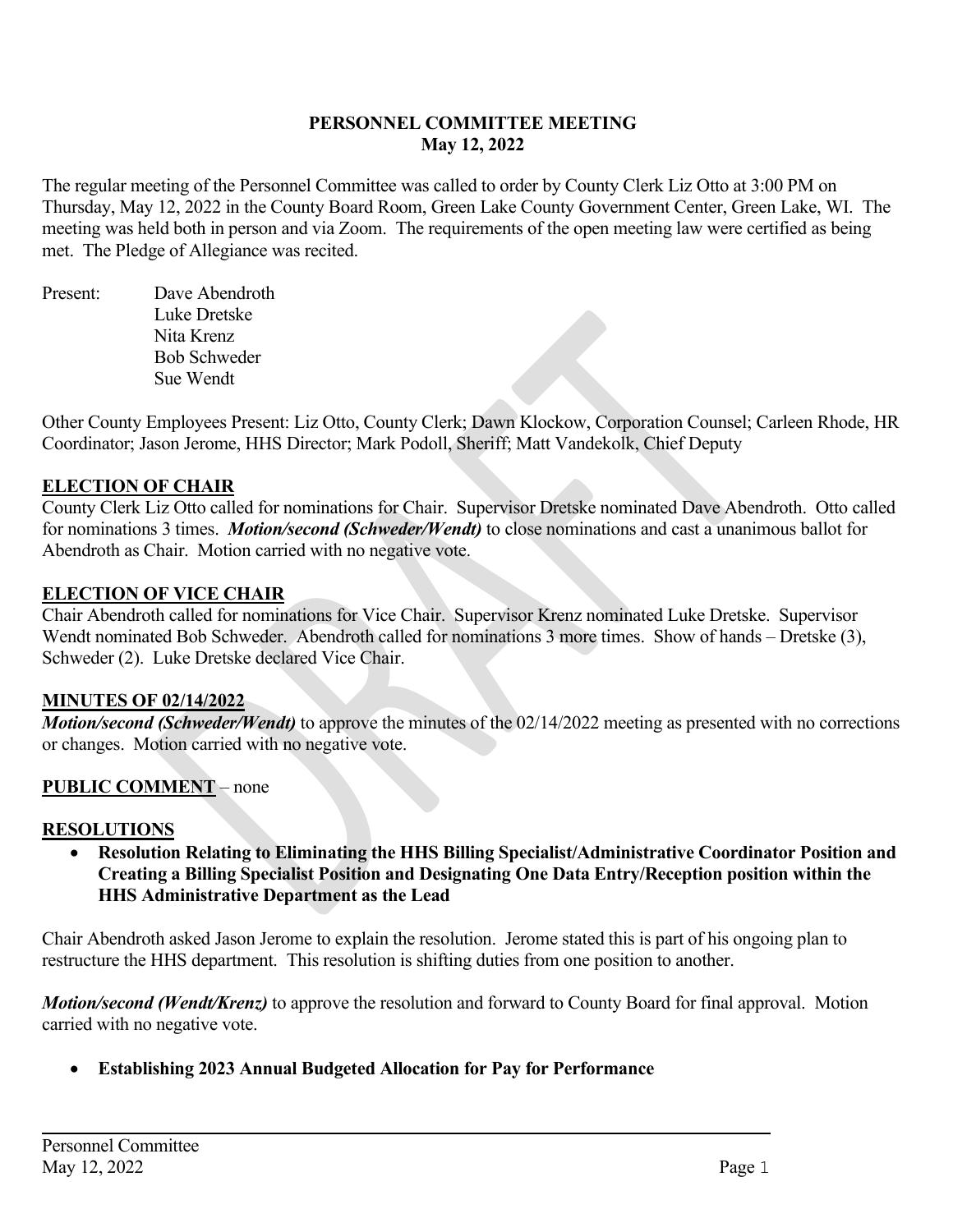#### **PERSONNEL COMMITTEE MEETING May 12, 2022**

The regular meeting of the Personnel Committee was called to order by County Clerk Liz Otto at 3:00 PM on Thursday, May 12, 2022 in the County Board Room, Green Lake County Government Center, Green Lake, WI. The meeting was held both in person and via Zoom. The requirements of the open meeting law were certified as being met. The Pledge of Allegiance was recited.

Present: Dave Abendroth Luke Dretske Nita Krenz Bob Schweder Sue Wendt

Other County Employees Present: Liz Otto, County Clerk; Dawn Klockow, Corporation Counsel; Carleen Rhode, HR Coordinator; Jason Jerome, HHS Director; Mark Podoll, Sheriff; Matt Vandekolk, Chief Deputy

## **ELECTION OF CHAIR**

County Clerk Liz Otto called for nominations for Chair. Supervisor Dretske nominated Dave Abendroth. Otto called for nominations 3 times. *Motion/second (Schweder/Wendt)* to close nominations and cast a unanimous ballot for Abendroth as Chair. Motion carried with no negative vote.

### **ELECTION OF VICE CHAIR**

Chair Abendroth called for nominations for Vice Chair. Supervisor Krenz nominated Luke Dretske. Supervisor Wendt nominated Bob Schweder. Abendroth called for nominations 3 more times. Show of hands – Dretske (3), Schweder (2). Luke Dretske declared Vice Chair.

### **MINUTES OF 02/14/2022**

*Motion/second (Schweder/Wendt)* to approve the minutes of the 02/14/2022 meeting as presented with no corrections or changes. Motion carried with no negative vote.

## **PUBLIC COMMENT** – none

### **RESOLUTIONS**

• **Resolution Relating to Eliminating the HHS Billing Specialist/Administrative Coordinator Position and Creating a Billing Specialist Position and Designating One Data Entry/Reception position within the HHS Administrative Department as the Lead**

Chair Abendroth asked Jason Jerome to explain the resolution. Jerome stated this is part of his ongoing plan to restructure the HHS department. This resolution is shifting duties from one position to another.

*Motion/second (Wendt/Krenz)* to approve the resolution and forward to County Board for final approval. Motion carried with no negative vote.

• **Establishing 2023 Annual Budgeted Allocation for Pay for Performance**